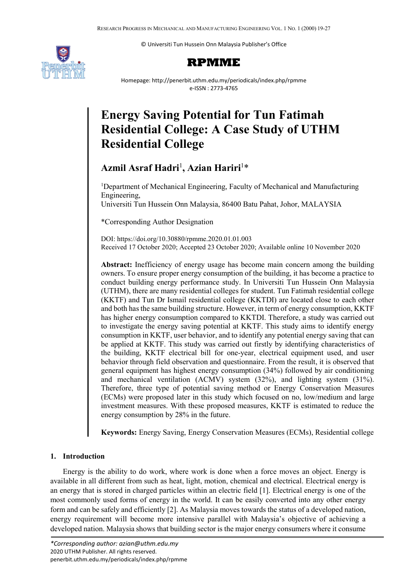© Universiti Tun Hussein Onn Malaysia Publisher's Office





Homepage: http://penerbit.uthm.edu.my/periodicals/index.php/rpmme e-ISSN : 2773-4765

# **Energy Saving Potential for Tun Fatimah Residential College: A Case Study of UTHM Residential College**

# **Azmil Asraf Hadri**<sup>1</sup> **, Azian Hariri**<sup>1</sup> \*

<sup>1</sup>Department of Mechanical Engineering, Faculty of Mechanical and Manufacturing Engineering, Universiti Tun Hussein Onn Malaysia, 86400 Batu Pahat, Johor, MALAYSIA

\*Corresponding Author Designation

DOI: https://doi.org/10.30880/rpmme.2020.01.01.003 Received 17 October 2020; Accepted 23 October 2020; Available online 10 November 2020

**Abstract:** Inefficiency of energy usage has become main concern among the building owners. To ensure proper energy consumption of the building, it has become a practice to conduct building energy performance study. In Universiti Tun Hussein Onn Malaysia (UTHM), there are many residential colleges for student. Tun Fatimah residential college (KKTF) and Tun Dr Ismail residential college (KKTDI) are located close to each other and both has the same building structure. However, in term of energy consumption, KKTF has higher energy consumption compared to KKTDI. Therefore, a study was carried out to investigate the energy saving potential at KKTF. This study aims to identify energy consumption in KKTF, user behavior, and to identify any potential energy saving that can be applied at KKTF. This study was carried out firstly by identifying characteristics of the building, KKTF electrical bill for one-year, electrical equipment used, and user behavior through field observation and questionnaire. From the result, it is observed that general equipment has highest energy consumption (34%) followed by air conditioning and mechanical ventilation (ACMV) system (32%), and lighting system (31%). Therefore, three type of potential saving method or Energy Conservation Measures (ECMs) were proposed later in this study which focused on no, low/medium and large investment measures. With these proposed measures, KKTF is estimated to reduce the energy consumption by 28% in the future.

**Keywords:** Energy Saving, Energy Conservation Measures (ECMs), Residential college

# **1. Introduction**

Energy is the ability to do work, where work is done when a force moves an object. Energy is available in all different from such as heat, light, motion, chemical and electrical. Electrical energy is an energy that is stored in charged particles within an electric field [1]. Electrical energy is one of the most commonly used forms of energy in the world. It can be easily converted into any other energy form and can be safely and efficiently [2]. As Malaysia moves towards the status of a developed nation, energy requirement will become more intensive parallel with Malaysia's objective of achieving a developed nation. Malaysia shows that building sector is the major energy consumers where it consume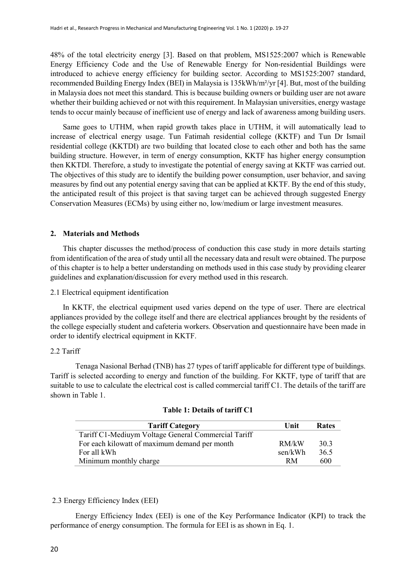48% of the total electricity energy [3]. Based on that problem, MS1525:2007 which is Renewable Energy Efficiency Code and the Use of Renewable Energy for Non-residential Buildings were introduced to achieve energy efficiency for building sector. According to MS1525:2007 standard, recommended Building Energy Index (BEI) in Malaysia is 135kWh/m²/yr [4]. But, most of the building in Malaysia does not meet this standard. This is because building owners or building user are not aware whether their building achieved or not with this requirement. In Malaysian universities, energy wastage tends to occur mainly because of inefficient use of energy and lack of awareness among building users.

Same goes to UTHM, when rapid growth takes place in UTHM, it will automatically lead to increase of electrical energy usage. Tun Fatimah residential college (KKTF) and Tun Dr Ismail residential college (KKTDI) are two building that located close to each other and both has the same building structure. However, in term of energy consumption, KKTF has higher energy consumption then KKTDI. Therefore, a study to investigate the potential of energy saving at KKTF was carried out. The objectives of this study are to identify the building power consumption, user behavior, and saving measures by find out any potential energy saving that can be applied at KKTF. By the end of this study, the anticipated result of this project is that saving target can be achieved through suggested Energy Conservation Measures (ECMs) by using either no, low/medium or large investment measures.

# **2. Materials and Methods**

This chapter discusses the method/process of conduction this case study in more details starting from identification of the area of study until all the necessary data and result were obtained. The purpose of this chapter is to help a better understanding on methods used in this case study by providing clearer guidelines and explanation/discussion for every method used in this research.

2.1 Electrical equipment identification

In KKTF, the electrical equipment used varies depend on the type of user. There are electrical appliances provided by the college itself and there are electrical appliances brought by the residents of the college especially student and cafeteria workers. Observation and questionnaire have been made in order to identify electrical equipment in KKTF.

# 2.2 Tariff

Tenaga Nasional Berhad (TNB) has 27 types of tariff applicable for different type of buildings. Tariff is selected according to energy and function of the building. For KKTF, type of tariff that are suitable to use to calculate the electrical cost is called commercial tariff C1. The details of the tariff are shown in Table 1.

| <b>Tariff Category</b>                              | Unit    | <b>Rates</b> |
|-----------------------------------------------------|---------|--------------|
| Tariff C1-Mediuym Voltage General Commercial Tariff |         |              |
| For each kilowatt of maximum demand per month       | RM/kW   | 30.3         |
| For all kWh                                         | sen/kWh | 36.5         |
| Minimum monthly charge                              | RM.     | 600          |

## **Table 1: Details of tariff C1**

# 2.3 Energy Efficiency Index (EEI)

Energy Efficiency Index (EEI) is one of the Key Performance Indicator (KPI) to track the performance of energy consumption. The formula for EEI is as shown in Eq. 1.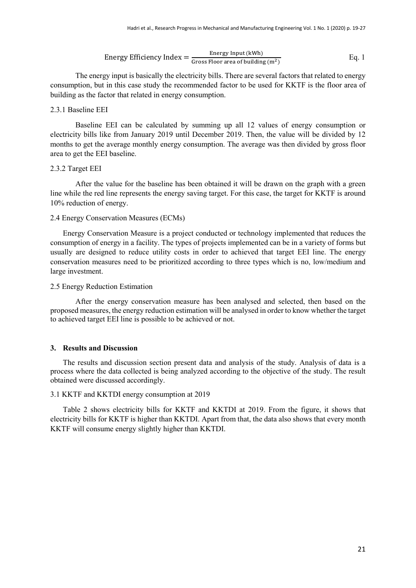Energy Efficiency Index = 
$$
\frac{\text{Energy Input (kWh)}}{\text{Gross Floor area of building (m2))}}
$$
 Eq. 1

The energy input is basically the electricity bills. There are several factors that related to energy consumption, but in this case study the recommended factor to be used for KKTF is the floor area of building as the factor that related in energy consumption.

#### 2.3.1 Baseline EEI

Baseline EEI can be calculated by summing up all 12 values of energy consumption or electricity bills like from January 2019 until December 2019. Then, the value will be divided by 12 months to get the average monthly energy consumption. The average was then divided by gross floor area to get the EEI baseline.

#### 2.3.2 Target EEI

After the value for the baseline has been obtained it will be drawn on the graph with a green line while the red line represents the energy saving target. For this case, the target for KKTF is around 10% reduction of energy.

# 2.4 Energy Conservation Measures (ECMs)

Energy Conservation Measure is a project conducted or technology implemented that reduces the consumption of energy in a facility. The types of projects implemented can be in a variety of forms but usually are designed to reduce utility costs in order to achieved that target EEI line. The energy conservation measures need to be prioritized according to three types which is no, low/medium and large investment.

# 2.5 Energy Reduction Estimation

After the energy conservation measure has been analysed and selected, then based on the proposed measures, the energy reduction estimation will be analysed in order to know whether the target to achieved target EEI line is possible to be achieved or not.

# **3. Results and Discussion**

The results and discussion section present data and analysis of the study. Analysis of data is a process where the data collected is being analyzed according to the objective of the study. The result obtained were discussed accordingly.

# 3.1 KKTF and KKTDI energy consumption at 2019

Table 2 shows electricity bills for KKTF and KKTDI at 2019. From the figure, it shows that electricity bills for KKTF is higher than KKTDI. Apart from that, the data also shows that every month KKTF will consume energy slightly higher than KKTDI.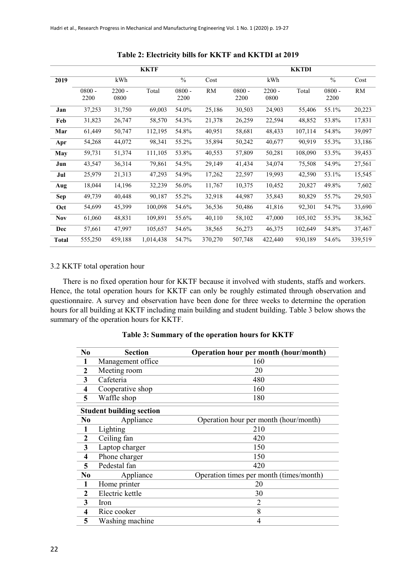|              |                  |                  | KKTF      |                  |         |                  |                  | <b>KKTDI</b> |                  |           |
|--------------|------------------|------------------|-----------|------------------|---------|------------------|------------------|--------------|------------------|-----------|
| 2019         |                  | kWh              |           | $\frac{0}{0}$    | Cost    |                  | kWh              |              | $\frac{0}{0}$    | Cost      |
|              | $0800 -$<br>2200 | $2200 -$<br>0800 | Total     | $0800 -$<br>2200 | RM      | $0800 -$<br>2200 | $2200 -$<br>0800 | Total        | $0800 -$<br>2200 | <b>RM</b> |
| Jan          | 37,253           | 31,750           | 69,003    | 54.0%            | 25,186  | 30,503           | 24,903           | 55,406       | 55.1%            | 20,223    |
| Feb          | 31,823           | 26,747           | 58,570    | 54.3%            | 21,378  | 26,259           | 22,594           | 48,852       | 53.8%            | 17,831    |
| Mar          | 61,449           | 50,747           | 112,195   | 54.8%            | 40,951  | 58,681           | 48,433           | 107,114      | 54.8%            | 39,097    |
| Apr          | 54,268           | 44,072           | 98,341    | 55.2%            | 35,894  | 50,242           | 40,677           | 90,919       | 55.3%            | 33,186    |
| May          | 59,731           | 51,374           | 111,105   | 53.8%            | 40,553  | 57,809           | 50,281           | 108,090      | 53.5%            | 39,453    |
| Jun          | 43,547           | 36,314           | 79,861    | 54.5%            | 29,149  | 41,434           | 34,074           | 75,508       | 54.9%            | 27,561    |
| Jul          | 25,979           | 21,313           | 47,293    | 54.9%            | 17,262  | 22,597           | 19,993           | 42,590       | 53.1%            | 15,545    |
| Aug          | 18,044           | 14,196           | 32,239    | 56.0%            | 11,767  | 10,375           | 10,452           | 20,827       | 49.8%            | 7,602     |
| Sep          | 49,739           | 40,448           | 90,187    | 55.2%            | 32,918  | 44,987           | 35,843           | 80,829       | 55.7%            | 29,503    |
| Oct          | 54,699           | 45,399           | 100,098   | 54.6%            | 36,536  | 50,486           | 41,816           | 92,301       | 54.7%            | 33,690    |
| <b>Nov</b>   | 61,060           | 48,831           | 109,891   | 55.6%            | 40,110  | 58,102           | 47,000           | 105,102      | 55.3%            | 38,362    |
| Dec          | 57,661           | 47,997           | 105,657   | 54.6%            | 38,565  | 56,273           | 46,375           | 102,649      | 54.8%            | 37,467    |
| <b>Total</b> | 555,250          | 459,188          | 1,014,438 | 54.7%            | 370,270 | 507,748          | 422,440          | 930,189      | 54.6%            | 339,519   |

**Table 2: Electricity bills for KKTF and KKTDI at 2019**

#### 3.2 KKTF total operation hour

There is no fixed operation hour for KKTF because it involved with students, staffs and workers. Hence, the total operation hours for KKTF can only be roughly estimated through observation and questionnaire. A survey and observation have been done for three weeks to determine the operation hours for all building at KKTF including main building and student building. Table 3 below shows the summary of the operation hours for KKTF.

| N <sub>0</sub>          | <b>Section</b>                  | Operation hour per month (hour/month)   |
|-------------------------|---------------------------------|-----------------------------------------|
| $\mathbf{1}$            | Management office               | 160                                     |
| $\mathbf{2}$            | Meeting room                    | 20                                      |
| 3                       | Cafeteria                       | 480                                     |
| $\overline{\mathbf{4}}$ | Cooperative shop                | 160                                     |
| 5                       | Waffle shop                     | 180                                     |
|                         | <b>Student building section</b> |                                         |
| N0                      | Appliance                       | Operation hour per month (hour/month)   |
| $\mathbf{1}$            | Lighting                        | 210                                     |
| $\boldsymbol{2}$        | Ceiling fan                     | 420                                     |
| 3                       | Laptop charger                  | 150                                     |
| $\overline{\mathbf{4}}$ | Phone charger                   | 150                                     |
| 5                       | Pedestal fan                    | 420                                     |
| N <sub>0</sub>          | Appliance                       | Operation times per month (times/month) |
| 1                       | Home printer                    | 20                                      |
| $\mathbf{2}$            | Electric kettle                 | 30                                      |
| 3                       | Iron                            | $\overline{2}$                          |
| 4                       | Rice cooker                     | 8                                       |
| 5                       | Washing machine                 | 4                                       |

**Table 3: Summary of the operation hours for KKTF**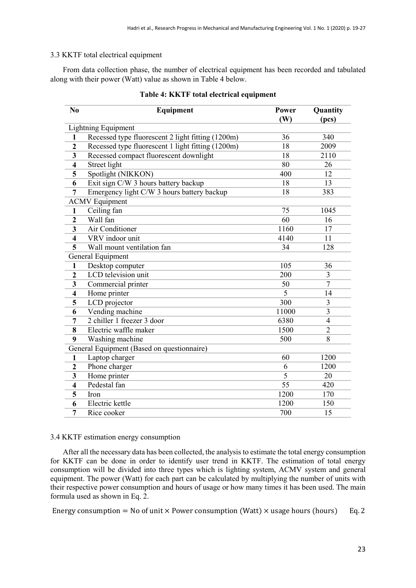# 3.3 KKTF total electrical equipment

From data collection phase, the number of electrical equipment has been recorded and tabulated along with their power (Watt) value as shown in Table 4 below.

| N <sub>0</sub>          | Equipment                                         | <b>Power</b><br>(W) | Quantity<br>(pcs) |  |  |  |  |
|-------------------------|---------------------------------------------------|---------------------|-------------------|--|--|--|--|
|                         | Lightning Equipment                               |                     |                   |  |  |  |  |
| $\mathbf{1}$            | Recessed type fluorescent 2 light fitting (1200m) | 36                  | 340               |  |  |  |  |
| $\overline{2}$          | Recessed type fluorescent 1 light fitting (1200m) | 18                  | 2009              |  |  |  |  |
| 3                       | Recessed compact fluorescent downlight            | 18                  | 2110              |  |  |  |  |
| $\overline{\mathbf{4}}$ | Street light                                      | 80                  | 26                |  |  |  |  |
| 5                       | Spotlight (NIKKON)                                | 400                 | 12                |  |  |  |  |
| 6                       | Exit sign C/W 3 hours battery backup              | 18                  | 13                |  |  |  |  |
| 7                       | Emergency light C/W 3 hours battery backup        | 18                  | 383               |  |  |  |  |
|                         | <b>ACMV Equipment</b>                             |                     |                   |  |  |  |  |
| $\mathbf{1}$            | Ceiling fan                                       | 75                  | 1045              |  |  |  |  |
| $\overline{2}$          | Wall fan                                          | 60                  | 16                |  |  |  |  |
| 3                       | Air Conditioner                                   | 1160                | 17                |  |  |  |  |
| 4                       | VRV indoor unit                                   | 4140                | 11                |  |  |  |  |
| 5                       | Wall mount ventilation fan                        | 34                  | 128               |  |  |  |  |
| General Equipment       |                                                   |                     |                   |  |  |  |  |
| $\mathbf{1}$            | Desktop computer                                  | 105                 | 36                |  |  |  |  |
| $\boldsymbol{2}$        | LCD television unit                               | 200                 | 3                 |  |  |  |  |
| 3                       | Commercial printer                                | 50                  | $\overline{7}$    |  |  |  |  |
| $\overline{\mathbf{4}}$ | Home printer                                      | 5                   | 14                |  |  |  |  |
| 5                       | LCD projector                                     | 300                 | 3                 |  |  |  |  |
| 6                       | Vending machine                                   | 11000               | 3                 |  |  |  |  |
| 7                       | 2 chiller 1 freezer 3 door                        | 6380                | $\overline{4}$    |  |  |  |  |
| 8                       | Electric waffle maker                             | 1500                | $\overline{2}$    |  |  |  |  |
| 9                       | Washing machine                                   | 500                 | 8                 |  |  |  |  |
|                         | General Equipment (Based on questionnaire)        |                     |                   |  |  |  |  |
| $\mathbf{1}$            | Laptop charger                                    | 60                  | 1200              |  |  |  |  |
| $\mathbf{2}$            | Phone charger                                     | 6                   | 1200              |  |  |  |  |
| 3                       | Home printer                                      | 5                   | 20                |  |  |  |  |
| $\overline{\mathbf{4}}$ | Pedestal fan                                      | 55                  | 420               |  |  |  |  |
| 5                       | Iron                                              | 1200                | 170               |  |  |  |  |
| 6                       | Electric kettle                                   | 1200                | 150               |  |  |  |  |
| 7                       | Rice cooker                                       | 700                 | 15                |  |  |  |  |

# **Table 4: KKTF total electrical equipment**

# 3.4 KKTF estimation energy consumption

After all the necessary data has been collected, the analysis to estimate the total energy consumption for KKTF can be done in order to identify user trend in KKTF. The estimation of total energy consumption will be divided into three types which is lighting system, ACMV system and general equipment. The power (Watt) for each part can be calculated by multiplying the number of units with their respective power consumption and hours of usage or how many times it has been used. The main formula used as shown in Eq. 2.

Energy consumption = No of unit  $\times$  Power consumption (Watt)  $\times$  usage hours (hours) Eq. 2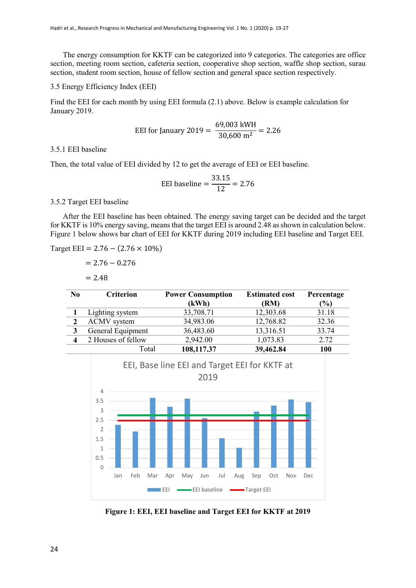The energy consumption for KKTF can be categorized into 9 categories. The categories are office section, meeting room section, cafeteria section, cooperative shop section, waffle shop section, surau section, student room section, house of fellow section and general space section respectively.

#### 3.5 Energy Efficiency Index (EEI)

Find the EEI for each month by using EEI formula (2.1) above. Below is example calculation for January 2019.

$$
EEI for January 2019 = \frac{69,003 \text{ kWh}}{30,600 \text{ m}^2} = 2.26
$$

## 3.5.1 EEI baseline

Then, the total value of EEI divided by 12 to get the average of EEI or EEI baseline.

$$
EEI baseline = \frac{33.15}{12} = 2.76
$$

#### 3.5.2 Target EEI baseline

After the EEI baseline has been obtained. The energy saving target can be decided and the target for KKTF is 10% energy saving, means that the target EEI is around 2.48 as shown in calculation below. Figure 1 below shows bar chart of EEI for KKTF during 2019 including EEI baseline and Target EEI.

Target EEI =  $2.76 - (2.76 \times 10\%)$ 

$$
= 2.76 - 0.276
$$

$$
=2.48
$$

| N <sub>0</sub> | <b>Criterion</b>   | <b>Power Consumption</b> | <b>Estimated cost</b> | Percentage |
|----------------|--------------------|--------------------------|-----------------------|------------|
|                |                    | (kWh)                    | (RM)                  | (%)        |
|                | Lighting system    | 33,708.71                | 12,303.68             | 31.18      |
|                | <b>ACMV</b> system | 34,983.06                | 12,768.82             | 32.36      |
|                | General Equipment  | 36,483.60                | 13,316.51             | 33.74      |
|                | 2 Houses of fellow | 2,942.00                 | 1,073.83              | 2.72       |
|                | Total              | 108,117.37               | 39,462.84             | 100        |



**Figure 1: EEI, EEI baseline and Target EEI for KKTF at 2019**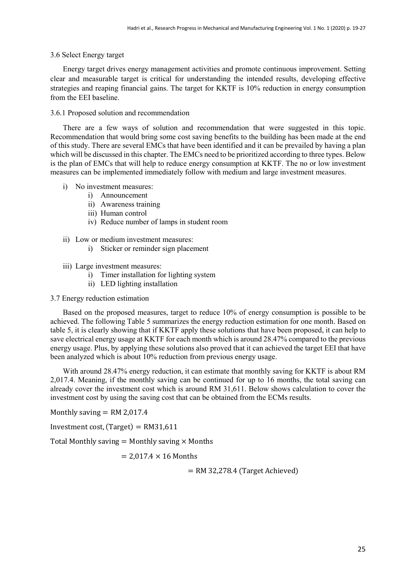#### 3.6 Select Energy target

Energy target drives energy management activities and promote continuous improvement. Setting clear and measurable target is critical for understanding the intended results, developing effective strategies and reaping financial gains. The target for KKTF is 10% reduction in energy consumption from the EEI baseline.

#### 3.6.1 Proposed solution and recommendation

There are a few ways of solution and recommendation that were suggested in this topic. Recommendation that would bring some cost saving benefits to the building has been made at the end of this study. There are several EMCs that have been identified and it can be prevailed by having a plan which will be discussed in this chapter. The EMCs need to be prioritized according to three types. Below is the plan of EMCs that will help to reduce energy consumption at KKTF. The no or low investment measures can be implemented immediately follow with medium and large investment measures.

#### i) No investment measures:

- i) Announcement
- ii) Awareness training
- iii) Human control
- iv) Reduce number of lamps in student room
- ii) Low or medium investment measures:
	- i) Sticker or reminder sign placement
- iii) Large investment measures:
	- i) Timer installation for lighting system
	- ii) LED lighting installation

#### 3.7 Energy reduction estimation

Based on the proposed measures, target to reduce 10% of energy consumption is possible to be achieved. The following Table 5 summarizes the energy reduction estimation for one month. Based on table 5, it is clearly showing that if KKTF apply these solutions that have been proposed, it can help to save electrical energy usage at KKTF for each month which is around 28.47% compared to the previous energy usage. Plus, by applying these solutions also proved that it can achieved the target EEI that have been analyzed which is about 10% reduction from previous energy usage.

With around 28.47% energy reduction, it can estimate that monthly saving for KKTF is about RM 2,017.4. Meaning, if the monthly saving can be continued for up to 16 months, the total saving can already cover the investment cost which is around RM 31,611. Below shows calculation to cover the investment cost by using the saving cost that can be obtained from the ECMs results.

Monthly saving  $=$  RM 2,017.4

Investment cost, (Target) =  $RM31.611$ 

Total Monthly saving  $=$  Monthly saving  $\times$  Months

 $= 2.017.4 \times 16$  Months

 $=$  RM 32,278.4 (Target Achieved)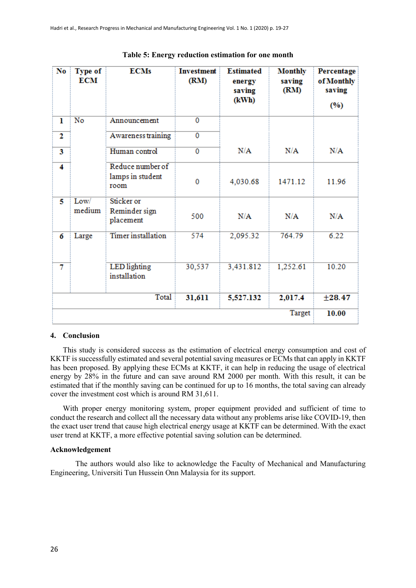| No | <b>Type of</b><br><b>ECM</b> | <b>ECMs</b>                                  | <b>Investment</b><br>(RM) | <b>Estimated</b><br>energy<br>saving<br>(kWh) | <b>Monthly</b><br>saving<br>(RM) | Percentage<br>of Monthly<br>saving<br>(%) |
|----|------------------------------|----------------------------------------------|---------------------------|-----------------------------------------------|----------------------------------|-------------------------------------------|
| ı  | No                           | Announcement                                 | $\mathbf{0}$              |                                               |                                  |                                           |
| 2  |                              | Awareness training                           | $\overline{0}$            |                                               |                                  |                                           |
| 3  |                              | Human control                                | $\overline{0}$            | N/A                                           | N/A                              | N/A                                       |
| 4  |                              | Reduce number of<br>lamps in student<br>room | 0                         | 4,030.68                                      | 1471.12                          | 11.96                                     |
| 5  | Low/<br>medium               | Sticker or<br>Reminder sign<br>placement     | 500                       | N/A                                           | N/A                              | N/A                                       |
| 6  | Large                        | <b>Timer</b> installation                    | 574                       | 2,095.32                                      | 764.79                           | 6.22                                      |
| 7  |                              | <b>LED</b> lighting<br>installation          | 30,537                    | 3,431.812                                     | 1,252.61                         | 10.20                                     |
|    |                              | <b>Total</b>                                 | 31,611                    | 5,527.132                                     | 2,017.4                          | ±28.47                                    |
|    |                              |                                              |                           |                                               | <b>Target</b>                    | 10.00                                     |

#### **Table 5: Energy reduction estimation for one month**

# **4. Conclusion**

This study is considered success as the estimation of electrical energy consumption and cost of KKTF is successfully estimated and several potential saving measures or ECMs that can apply in KKTF has been proposed. By applying these ECMs at KKTF, it can help in reducing the usage of electrical energy by 28% in the future and can save around RM 2000 per month. With this result, it can be estimated that if the monthly saving can be continued for up to 16 months, the total saving can already cover the investment cost which is around RM 31,611.

With proper energy monitoring system, proper equipment provided and sufficient of time to conduct the research and collect all the necessary data without any problems arise like COVID-19, then the exact user trend that cause high electrical energy usage at KKTF can be determined. With the exact user trend at KKTF, a more effective potential saving solution can be determined.

#### **Acknowledgement**

The authors would also like to acknowledge the Faculty of Mechanical and Manufacturing Engineering, Universiti Tun Hussein Onn Malaysia for its support.